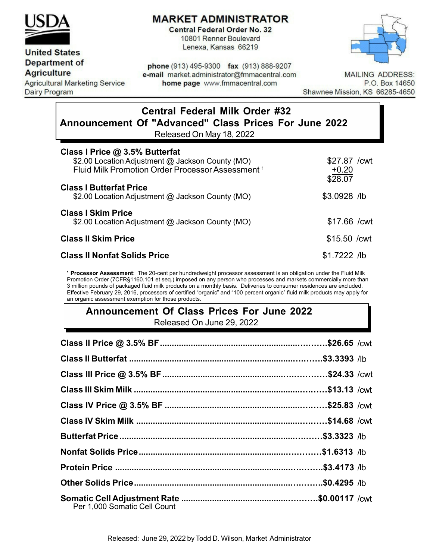

## **MARKET ADMINISTRATOR**

**Central Federal Order No. 32** 10801 Renner Boulevard Lenexa, Kansas 66219



### **United States Department of**

**Agriculture** 

**Agricultural Marketing Service Dairy Program** 

phone (913) 495-9300 fax (913) 888-9207 e-mail market.administrator@fmmacentral.com home page www.fmmacentral.com

**MAILING ADDRESS:** P.O. Box 14650 Shawnee Mission, KS 66285-4650

# **Central Federal Milk Order #32 Announcement Of "Advanced" Class Prices For June 2022**

Released On May 18, 2022

| Class I Price @ 3.5% Butterfat<br>\$2.00 Location Adjustment @ Jackson County (MO) | \$27.87 / cwt      |
|------------------------------------------------------------------------------------|--------------------|
| Fluid Milk Promotion Order Processor Assessment <sup>1</sup>                       | $+0.20$<br>\$28.07 |
| <b>Class I Butterfat Price</b><br>\$2.00 Location Adjustment @ Jackson County (MO) | \$3.0928 /lb       |
| <b>Class I Skim Price</b><br>\$2.00 Location Adjustment @ Jackson County (MO)      | \$17.66 / cwt      |
| <b>Class II Skim Price</b>                                                         | $$15.50$ /cwt      |
| <b>Class II Nonfat Solids Price</b>                                                | $$1.7222$ /lb      |

**<sup>1</sup> Processor Assessment**: The 20-cent per hundredweight processor assessment is an obligation under the Fluid Milk Promotion Order (7CFR§1160.101 et seq.) imposed on any person who processes and markets commercially more than 3 million pounds of packaged fluid milk products on a monthly basis. Deliveries to consumer residences are excluded. Effective February 29, 2016, processors of certified "organic" and "100 percent organic" fluid milk products may apply for an organic assessment exemption for those products.

### **Announcement Of Class Prices For June 2022** Released On June 29, 2022

| Per 1,000 Somatic Cell Count |  |
|------------------------------|--|